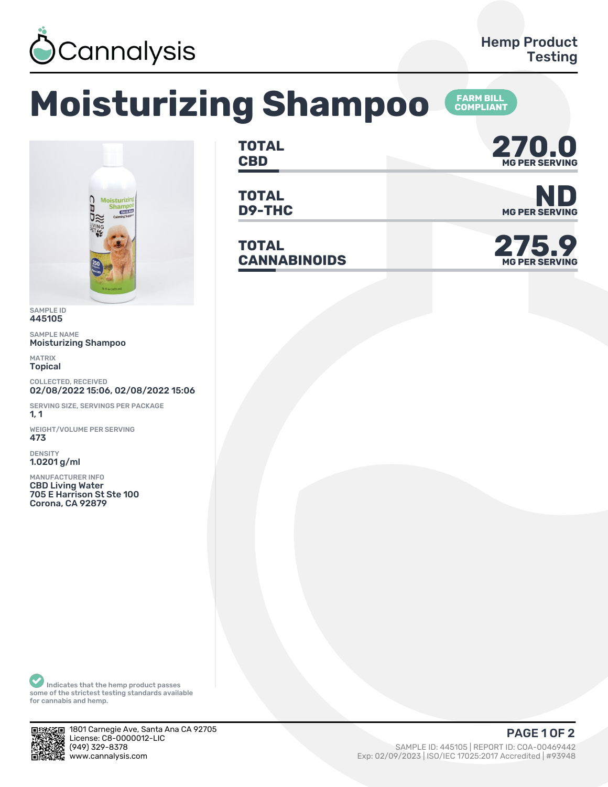

**FARM BILL<br>COMPLIANT** 

## **Moisturizing Shampoo**



SAMPLE ID 445105

SAMPLE NAME Moisturizing Shampoo

MATRIX Topical

COLLECTED, RECEIVED 02/08/2022 15:06, 02/08/2022 15:06

SERVING SIZE, SERVINGS PER PACKAGE  $1, 1$ 

WEIGHT/VOLUME PER SERVING 473

DENSITY 1.0201 g/ml

MANUFACTURER INFO CBD Living Water 705 E Harrison St Ste 100 Corona, CA 92879

**TOTAL** TOTAL **270.0**<br>CBD MGPER SERVING

**TOTAL**

**TOTAL CANNABINOIDS 275.9**



**D9-THC** MG PER SERVING



Indicates that the hemp product passes some of the strictest testing standards available for cannabis and hemp.



1801 Carnegie Ave, Santa Ana CA 92705 License: C8-0000012-LIC<br>(949) 329-8378

SAMPLE ID: 445105 | REPORT ID: COA-00469442 www.cannalysis.com Exp: 02/09/2023 | ISO/IEC 17025:2017 Accredited | #93948